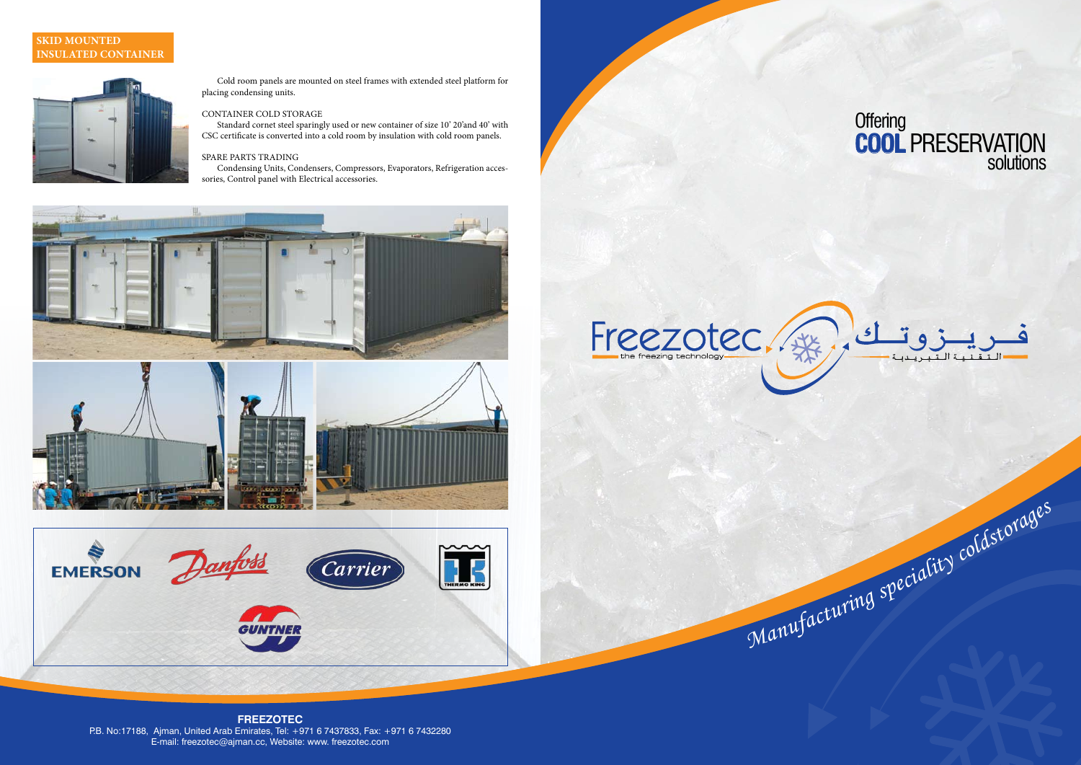# **Offering COOL** PRESERVATION solutions



Manufacturing speciality coldstorages

#### **FREEZOTEC** P.B. No:17188, Ajman, United Arab Emirates, Tel: +971 6 7437833, Fax: +971 6 7432280 E-mail: freezotec@ajman.cc, Website: www. freezotec.com

Cold room panels are mounted on steel frames with extended steel platform for placing condensing units.

#### CONTAINER COLD STORAGE

Standard cornet steel sparingly used or new container of size 10' 20'and 40' with CSC certificate is converted into a cold room by insulation with cold room panels.

#### SPARE PARTS TRADING

Condensing Units, Condensers, Compressors, Evaporators, Refrigeration accessories, Control panel with Electrical accessories.





## **SKID MOUNTED INSULATED CONTAINER**